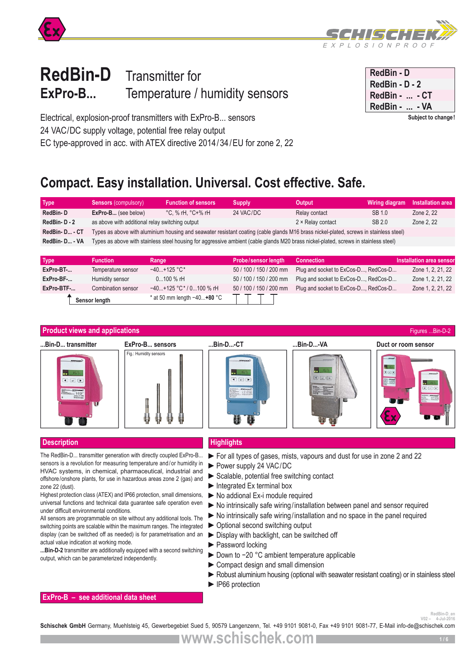



# **RedBin-D** Transmitter for **ExPro-B...** Temperature / humidity sensors

| RedBin - D         |
|--------------------|
| RedBin - D - 2     |
| RedBin -  - CT     |
| RedBin -<br>- VA   |
| Subject to change! |

Electrical, explosion-proof transmitters with ExPro-B... sensors 24 VAC/DC supply voltage, potential free relay output EC type-approved in acc. with ATEX directive 2014/34/EU for zone 2, 22

# **Compact. Easy installation. Universal. Cost effective. Safe.**

| Type        | <b>Sensors (compulsory)</b>                                                                                                            | <b>Function of sensors</b> | <b>Supply</b> | Output            | Wiring diagram | Installation area |
|-------------|----------------------------------------------------------------------------------------------------------------------------------------|----------------------------|---------------|-------------------|----------------|-------------------|
| RedBin-D    | <b>ExPro-B</b> (see below)                                                                                                             | °C. % rH. °C+% rH          | 24 VAC/DC     | Relay contact     | SB 1.0         | Zone 2, 22        |
| RedBin-D-2  | as above with additional relay switching output                                                                                        |                            |               | 2 × Relay contact | SB 2.0         | Zone 2, 22        |
| RedBin-D-CT | Types as above with aluminium housing and seawater resistant coating (cable glands M16 brass nickel-plated, screws in stainless steel) |                            |               |                   |                |                   |
| RedBin-D-VA | Types as above with stainless steel housing for aggressive ambient (cable glands M20 brass nickel-plated, screws in stainless steel)   |                            |               |                   |                |                   |
|             |                                                                                                                                        |                            |               |                   |                |                   |

| <b>Type</b> | <b>Function</b>    | Range                         | <b>Probe/sensor length</b> | Connection                           | Installation area sensor |
|-------------|--------------------|-------------------------------|----------------------------|--------------------------------------|--------------------------|
| ExPro-BT-   | Temperature sensor | $-40+125$ °C*                 | 50 / 100 / 150 / 200 mm    | Plug and socket to ExCos-D, RedCos-D | Zone 1, 2, 21, 22        |
| ExPro-BF-   | Humidity sensor    | $0100 \%$ rH                  | 50 / 100 / 150 / 200 mm    | Plug and socket to ExCos-D, RedCos-D | Zone 1, 2, 21, 22        |
| ExPro-BTF-  | Combination sensor | $-40+125$ °C* / 0100 % rH     | 50 / 100 / 150 / 200 mm    | Plug and socket to ExCos-D, RedCos-D | Zone 1, 2, 21, 22        |
|             | Sensor length      | * at 50 mm length $-40+80$ °C |                            |                                      |                          |



## **Description Highlights**

The RedBin-D... transmitter generation with directly coupled ExPro-B... sensors is a revolution for measuring temperature and/or humidity in HVAC systems, in chemical, pharmaceutical, industrial and offshore/onshore plants, for use in hazardous areas zone 2 (gas) and zone 22 (dust).

Highest protection class (ATEX) and IP66 protection, small dimensions, universal functions and technical data guarantee safe operation even under difficult environmental conditions.

All sensors are programmable on site without any additional tools. The switching points are scalable within the maximum ranges. The integrated display (can be switched off as needed) is for parametrisation and an actual value indication at working mode.

**...Bin-D-2** transmitter are additionally equipped with a second switching output, which can be parameterized independently.

- ►For all types of gases, mists, vapours and dust for use in zone 2 and 22
- ►Power supply 24 VAC/DC
- ▶ Scalable, potential free switching contact
- $\blacktriangleright$  Integrated Ex terminal box
- ►No addional Ex-i module required
- ►No intrinsically safe wiring/installation between panel and sensor required
- ►No intrinsically safe wiring/installation and no space in the panel required
- ►Optional second switching output
- ►Display with backlight, can be switched off
- ►Password locking
- ► Down to -20 °C ambient temperature applicable
- ► Compact design and small dimension
- ► Robust aluminium housing (optional with seawater resistant coating) or in stainless steel
- ►IP66 protection

### **ExPro-B – see additional data sheet**

**RedBin-D\_en**<br>4-Jul-2016

voz -- voz -- voz -- voz -- voz - voz - voz - voz - voz - voz - voz - voz - voz - voz - voz - voz - voz - voz -<br>**Schischek GmbH** Germany, Muehlsteig 45, Gewerbegebiet Sued 5, 90579 Langenzenn, Tel. +49 9101 9081-0, Fax +4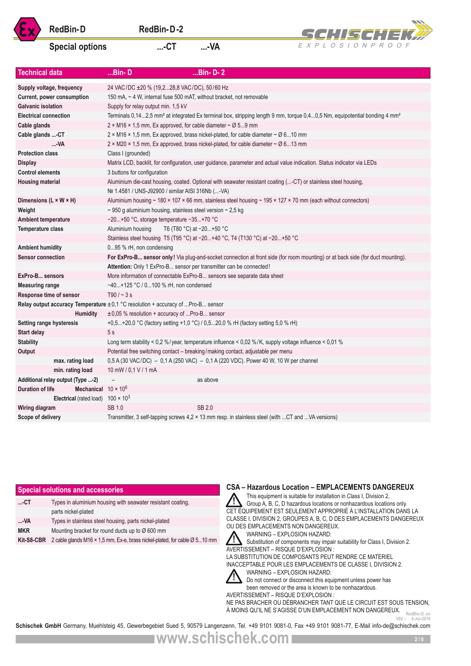

# Special options ....-CT ....-VA



|                              | <b>RedBin-D</b>                                                                    | RedBin-D-2                                                                                    |                          | SCHISCHEK#                                                                                                                                                                                                                                                                                                                                                                                                                                                                                                                                                                                   |
|------------------------------|------------------------------------------------------------------------------------|-----------------------------------------------------------------------------------------------|--------------------------|----------------------------------------------------------------------------------------------------------------------------------------------------------------------------------------------------------------------------------------------------------------------------------------------------------------------------------------------------------------------------------------------------------------------------------------------------------------------------------------------------------------------------------------------------------------------------------------------|
|                              | <b>Special options</b>                                                             | $$ - $CT$                                                                                     | $$ -VA                   | EXPLOSIONPROOF                                                                                                                                                                                                                                                                                                                                                                                                                                                                                                                                                                               |
|                              |                                                                                    |                                                                                               |                          |                                                                                                                                                                                                                                                                                                                                                                                                                                                                                                                                                                                              |
| <b>Technical data</b>        |                                                                                    | $Bin-D$                                                                                       | $$ Bin-D- $2$            |                                                                                                                                                                                                                                                                                                                                                                                                                                                                                                                                                                                              |
|                              | Supply voltage, frequency                                                          | 24 VAC/DC ±20 % (19,228,8 VAC/DC), 50/60 Hz                                                   |                          |                                                                                                                                                                                                                                                                                                                                                                                                                                                                                                                                                                                              |
|                              | Current, power consumption                                                         | 150 mA, ~ 4 W, internal fuse 500 mAT, without bracket, not removable                          |                          |                                                                                                                                                                                                                                                                                                                                                                                                                                                                                                                                                                                              |
| <b>Galvanic isolation</b>    |                                                                                    | Supply for relay output min. 1,5 kV                                                           |                          |                                                                                                                                                                                                                                                                                                                                                                                                                                                                                                                                                                                              |
| <b>Electrical connection</b> |                                                                                    |                                                                                               |                          | Terminals 0,142,5 mm <sup>2</sup> at integrated Ex terminal box, stripping length 9 mm, torque 0,40,5 Nm, equipotential bonding 4 mm <sup>2</sup>                                                                                                                                                                                                                                                                                                                                                                                                                                            |
| Cable glands                 |                                                                                    | 2 × M16 × 1,5 mm, Ex approved, for cable diameter $\sim \emptyset$ 59 mm                      |                          |                                                                                                                                                                                                                                                                                                                                                                                                                                                                                                                                                                                              |
| Cable glands -CT             |                                                                                    |                                                                                               |                          | 2 × M16 × 1,5 mm, Ex approved, brass nickel-plated, for cable diameter ~ Ø 610 mm                                                                                                                                                                                                                                                                                                                                                                                                                                                                                                            |
|                              | -VA                                                                                |                                                                                               |                          | $2 \times M20 \times 1,5$ mm, Ex approved, brass nickel-plated, for cable diameter ~ $\varnothing$ 613 mm                                                                                                                                                                                                                                                                                                                                                                                                                                                                                    |
| <b>Protection class</b>      |                                                                                    | Class I (grounded)                                                                            |                          |                                                                                                                                                                                                                                                                                                                                                                                                                                                                                                                                                                                              |
| <b>Display</b>               |                                                                                    |                                                                                               |                          | Matrix LCD, backlit, for configuration, user guidance, parameter and actual value indication. Status indicator via LEDs                                                                                                                                                                                                                                                                                                                                                                                                                                                                      |
| <b>Control elements</b>      |                                                                                    | 3 buttons for configuration                                                                   |                          |                                                                                                                                                                                                                                                                                                                                                                                                                                                                                                                                                                                              |
| <b>Housing material</b>      |                                                                                    | Nº 1.4581 / UNS-J92900 / similar AISI 316Nb (-VA)                                             |                          | Aluminium die-cast housing, coated. Optional with seawater resistant coating (-CT) or stainless steel housing,                                                                                                                                                                                                                                                                                                                                                                                                                                                                               |
| Dimensions (L × W × H)       |                                                                                    |                                                                                               |                          | Aluminium housing ~ 180 × 107 × 66 mm, stainless steel housing ~ 195 × 127 × 70 mm (each without connectors)                                                                                                                                                                                                                                                                                                                                                                                                                                                                                 |
| Weight                       |                                                                                    | $\sim$ 950 g aluminium housing, stainless steel version $\sim$ 2,5 kg                         |                          |                                                                                                                                                                                                                                                                                                                                                                                                                                                                                                                                                                                              |
| <b>Ambient temperature</b>   |                                                                                    | -20+50 °C, storage temperature -35+70 °C                                                      |                          |                                                                                                                                                                                                                                                                                                                                                                                                                                                                                                                                                                                              |
| Temperature class            |                                                                                    | Aluminium housing                                                                             | T6 (T80 °C) at -20+50 °C |                                                                                                                                                                                                                                                                                                                                                                                                                                                                                                                                                                                              |
|                              |                                                                                    | Stainless steel housing T5 (T95 °C) at -20+40 °C, T4 (T130 °C) at -20+50 °C                   |                          |                                                                                                                                                                                                                                                                                                                                                                                                                                                                                                                                                                                              |
| <b>Ambient humidity</b>      |                                                                                    | 095 % rH, non condensing                                                                      |                          |                                                                                                                                                                                                                                                                                                                                                                                                                                                                                                                                                                                              |
| <b>Sensor connection</b>     |                                                                                    | Attention: Only 1 ExPro-B sensor per transmitter can be connected!                            |                          | For ExPro-B sensor only! Via plug-and-socket connection at front side (for room mounting) or at back side (for duct mounting).                                                                                                                                                                                                                                                                                                                                                                                                                                                               |
| ExPro-B sensors              |                                                                                    | More information of connectable ExPro-B sensors see separate data sheet                       |                          |                                                                                                                                                                                                                                                                                                                                                                                                                                                                                                                                                                                              |
| <b>Measuring range</b>       |                                                                                    | -40+125 °C / 0100 % rH, non condensed                                                         |                          |                                                                                                                                                                                                                                                                                                                                                                                                                                                                                                                                                                                              |
|                              | Response time of sensor                                                            | $T90 / - 3s$                                                                                  |                          |                                                                                                                                                                                                                                                                                                                                                                                                                                                                                                                                                                                              |
|                              |                                                                                    | Relay output accuracy Temperature $\pm 0.1$ °C resolution + accuracy of  Pro-B sensor         |                          |                                                                                                                                                                                                                                                                                                                                                                                                                                                                                                                                                                                              |
|                              | <b>Humidity</b>                                                                    | $\pm 0.05$ % resolution + accuracy of Pro-B sensor                                            |                          |                                                                                                                                                                                                                                                                                                                                                                                                                                                                                                                                                                                              |
|                              | <b>Setting range hysteresis</b>                                                    | +0,5+20,0 °C (factory setting +1,0 °C) / 0,520,0 % rH (factory setting 5,0 % rH)              |                          |                                                                                                                                                                                                                                                                                                                                                                                                                                                                                                                                                                                              |
| Start delay                  |                                                                                    | 5s                                                                                            |                          |                                                                                                                                                                                                                                                                                                                                                                                                                                                                                                                                                                                              |
| <b>Stability</b>             |                                                                                    |                                                                                               |                          | Long term stability < 0,2 %/year, temperature influence < 0,02 %/K, supply voltage influence < 0,01 %                                                                                                                                                                                                                                                                                                                                                                                                                                                                                        |
| Output                       |                                                                                    | Potential free switching contact - breaking/making contact, adjustable per menu               |                          |                                                                                                                                                                                                                                                                                                                                                                                                                                                                                                                                                                                              |
|                              | max. rating load                                                                   |                                                                                               |                          | 0,5 A (30 VAC/DC) - 0,1 A (250 VAC) - 0,1 A (220 VDC). Power 40 W, 10 W per channel                                                                                                                                                                                                                                                                                                                                                                                                                                                                                                          |
|                              | min. rating load                                                                   | 10 mW / 0,1 V / 1 mA                                                                          |                          |                                                                                                                                                                                                                                                                                                                                                                                                                                                                                                                                                                                              |
|                              | Additional relay output (Type -2)                                                  |                                                                                               | as above                 |                                                                                                                                                                                                                                                                                                                                                                                                                                                                                                                                                                                              |
| <b>Duration of life</b>      | Mechanical $10 \times 10^6$<br>Electrical (rated load) $100 \times 10^3$           |                                                                                               |                          |                                                                                                                                                                                                                                                                                                                                                                                                                                                                                                                                                                                              |
| Wiring diagram               |                                                                                    | SB 1.0                                                                                        | SB 2.0                   |                                                                                                                                                                                                                                                                                                                                                                                                                                                                                                                                                                                              |
| Scope of delivery            |                                                                                    |                                                                                               |                          | Transmitter, 3 self-tapping screws $4.2 \times 13$ mm resp. in stainless steel (with CT and VA versions)                                                                                                                                                                                                                                                                                                                                                                                                                                                                                     |
|                              |                                                                                    |                                                                                               |                          |                                                                                                                                                                                                                                                                                                                                                                                                                                                                                                                                                                                              |
|                              |                                                                                    |                                                                                               |                          | <b>CSA – Hazardous Location – EMPLACEMENTS DANGEREUX</b>                                                                                                                                                                                                                                                                                                                                                                                                                                                                                                                                     |
|                              | <b>Special solutions and accessories</b>                                           |                                                                                               |                          | This equipment is suitable for installation in Class I, Division 2,                                                                                                                                                                                                                                                                                                                                                                                                                                                                                                                          |
| $$ -CT                       | Types in aluminium housing with seawater resistant coating,<br>parts nickel-plated |                                                                                               |                          | Group A, B, C, D hazardous locations or nonhazardous locations only.<br>CET ÉQUIPEMENT EST SEULEMENT APPROPRIÉ À L'INSTALLATION DANS LA                                                                                                                                                                                                                                                                                                                                                                                                                                                      |
| …VA                          | Types in stainless steel housing, parts nickel-plated                              |                                                                                               |                          | CLASSE I, DIVISION 2, GROUPES A, B, C, D DES EMPLACEMENTS DANGEREUX<br>OU DES EMPLACEMENTS NON DANGEREUX.                                                                                                                                                                                                                                                                                                                                                                                                                                                                                    |
| <b>MKR</b>                   |                                                                                    | Mounting bracket for round ducts up to Ø 600 mm                                               |                          | WARNING - EXPLOSION HAZARD:                                                                                                                                                                                                                                                                                                                                                                                                                                                                                                                                                                  |
| Kit-S8-CBR                   |                                                                                    | 2 cable glands M16 $\times$ 1,5 mm, Ex-e, brass nickel-plated, for cable $\varnothing$ 510 mm |                          | Substitution of components may impair suitability for Class I, Division 2.<br>AVERTISSEMENT - RISQUE D'EXPLOSION :<br>LA SUBSTITUTION DE COMPOSANTS PEUT RENDRE CE MATERIEL<br>INACCEPTABLE POUR LES EMPLACEMENTS DE CLASSE I, DIVISION 2.<br>WARNING - EXPLOSION HAZARD:<br>Do not connect or disconnect this equipment unless power has<br>been removed or the area is known to be nonhazardous.<br>AVERTISSEMENT - RISQUE D'EXPLOSION :<br>NE PAS BRACHER OU DÉBRANCHER TANT QUE LE CIRCUIT EST SOUS TENSION,<br>A MOINS QU'IL NE S'AGISSE D'UN EMPLACEMENT NON DANGEREUX.<br>RedBin-D en |
|                              |                                                                                    |                                                                                               |                          | $V02 - 4$ -Jul-2016                                                                                                                                                                                                                                                                                                                                                                                                                                                                                                                                                                          |

|            | <b>Special solutions and accessories</b>                                           | <b>CSA - Hazardous Location - EMPLACEMENTS DANGEREUX</b>                                                                                                                                                                                                                                                                                                                                                                                                                                                        |
|------------|------------------------------------------------------------------------------------|-----------------------------------------------------------------------------------------------------------------------------------------------------------------------------------------------------------------------------------------------------------------------------------------------------------------------------------------------------------------------------------------------------------------------------------------------------------------------------------------------------------------|
| $$ -CT     | Types in aluminium housing with seawater resistant coating,<br>parts nickel-plated | This equipment is suitable for installation in Class I, Division 2,<br>Group A, B, C, D hazardous locations or nonhazardous locations only.<br>CET ÉQUIPEMENT EST SEULEMENT APPROPRIÉ À L'INSTALLATION DANS LA                                                                                                                                                                                                                                                                                                  |
| -VA        | Types in stainless steel housing, parts nickel-plated                              | CLASSE I, DIVISION 2, GROUPES A, B, C, D DES EMPLACEMENTS DANGEREUX                                                                                                                                                                                                                                                                                                                                                                                                                                             |
| <b>MKR</b> | Mounting bracket for round ducts up to $\varnothing$ 600 mm                        | OU DES EMPLACEMENTS NON DANGEREUX.<br>WARNING - EXPLOSION HAZARD:                                                                                                                                                                                                                                                                                                                                                                                                                                               |
| Kit-S8-CBR | 2 cable glands M16 × 1.5 mm, Ex-e, brass nickel-plated, for cable Ø 510 mm         | Substitution of components may impair suitability for Class I, Division 2.<br>AVERTISSEMENT - RISQUE D'EXPLOSION :<br>LA SUBSTITUTION DE COMPOSANTS PEUT RENDRE CE MATERIEL<br>INACCEPTABLE POUR LES EMPLACEMENTS DE CLASSE I, DIVISION 2.<br>WARNING - EXPLOSION HAZARD:<br>Do not connect or disconnect this equipment unless power has<br>been removed or the area is known to be nonhazardous.<br>AVERTISSEMENT - RISQUE D'EXPLOSION :<br>NE PAS BRACHER OU DÉBRANCHER TANT QUE LE CIRCUIT EST SOUS TENSION |

Schischek GmbH Germany, Muehlsteig 45, Gewerbegebiet Sued 5, 90579 Langenzenn, Tel. +49 9101 9081-0, Fax +49 9101 9081-77, E-Mail info-de@schischek.com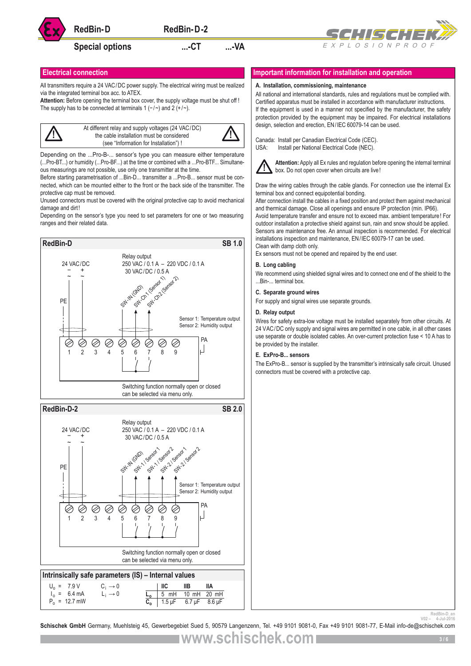

# Special options **....**-CT ....-VA



All transmitters require a 24 VAC/DC power supply. The electrical wiring must be realized via the integrated terminal box acc. to ATEX.

**Attention:** Before opening the terminal box cover, the supply voltage must be shut off ! The supply has to be connected at terminals 1 (-/~) and 2 (+/~).



Depending on the ...Pro-B-... sensor's type you can measure either temperature (...Pro-BT...) or humidity (...Pro-BF...) at the time or combined with a ...Pro-BTF... Simultaneous measurings are not possible, use only one transmitter at the time.

Before starting parametrisation of ...Bin-D... transmitter a ...Pro-B... sensor must be connected, which can be mounted either to the front or the back side of the transmitter. The protective cap must be removed.

Unused connectors must be covered with the original protective cap to avoid mechanical damage and dirt!

Depending on the sensor's type you need to set parameters for one or two measuring ranges and their related data.



### **Electrical connection Important information for installation and operation**

#### **A. Installation, commissioning, maintenance**

All national and international standards, rules and regulations must be complied with. Certified apparatus must be installed in accordance with manufacturer instructions. If the equipment is used in a manner not specified by the manufacturer, the safety protection provided by the equipment may be impaired. For electrical installations design, selection and erection, EN/IEC 60079-14 can be used.

Canada: Install per Canadian Electrical Code (CEC). USA: Install per National Electrical Code (NEC).



**Attention:** Apply all Ex rules and regulation before opening the internal terminal box. Do not open cover when circuits are live!

Draw the wiring cables through the cable glands. For connection use the internal Ex terminal box and connect equipotential bonding.

After connection install the cables in a fixed position and protect them against mechanical and thermical damage. Close all openings and ensure IP protection (min. IP66).

Avoid temperature transfer and ensure not to exceed max. ambient temperature! For outdoor installation a protective shield against sun, rain and snow should be applied. Sensors are maintenance free. An annual inspection is recommended. For electrical installations inspection and maintenance, EN/IEC 60079-17 can be used. Clean with damp cloth only.

Ex sensors must not be opened and repaired by the end user.

### **B. Long cabling**

We recommend using shielded signal wires and to connect one end of the shield to the ...Bin-... terminal box.

#### **C. Separate ground wires**

For supply and signal wires use separate grounds.

#### **D. Relay output**

Wires for safety extra-low voltage must be installed separately from other circuits. At 24 VAC/DC only supply and signal wires are permitted in one cable, in all other cases use separate or double isolated cables. An over-current protection fuse < 10 A has to be provided by the installer.

#### **E. ExPro-B... sensors**

The ExPro-B... sensor is supplied by the transmitter's intrinsically safe circuit. Unused connectors must be covered with a protective cap.

RedBin-D\_en<br><sub>2014-</sub> - <sup>RedBin-D\_en</sup><br>**Schischek GmbH** Germany, Muehlsteig 45, Gewerbegebiet Sued 5, 90579 Langenzenn, Tel. +49 9101 9081-0, Fax +49 9101 9081-77, E-Mail info-de@schischek.com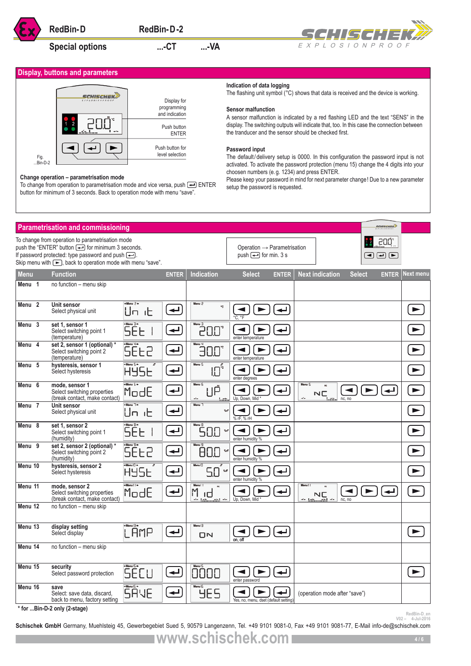# Special options **....-CT** ...-VA





#### **Change operation – parametrisation mode**

#### **Indication of data logging**

#### **Sensor malfunction**

#### **Password input**

|                                                                                                                                                                                                                                                                                                                                                                                                                                                                                                                                                                                                                                                                                                                                                                                                                                                                                                                                                                                                                                                                                                                                                       | <b>RedBin-D</b>                                                                                                                                                                                                                                                                | RedBin-D-2                                               |                                      |                                                                     | CHISCH IEKZ                                                  |                  |                                    |
|-------------------------------------------------------------------------------------------------------------------------------------------------------------------------------------------------------------------------------------------------------------------------------------------------------------------------------------------------------------------------------------------------------------------------------------------------------------------------------------------------------------------------------------------------------------------------------------------------------------------------------------------------------------------------------------------------------------------------------------------------------------------------------------------------------------------------------------------------------------------------------------------------------------------------------------------------------------------------------------------------------------------------------------------------------------------------------------------------------------------------------------------------------|--------------------------------------------------------------------------------------------------------------------------------------------------------------------------------------------------------------------------------------------------------------------------------|----------------------------------------------------------|--------------------------------------|---------------------------------------------------------------------|--------------------------------------------------------------|------------------|------------------------------------|
|                                                                                                                                                                                                                                                                                                                                                                                                                                                                                                                                                                                                                                                                                                                                                                                                                                                                                                                                                                                                                                                                                                                                                       | <b>Special options</b>                                                                                                                                                                                                                                                         | $$ -CT                                                   | $$ -VA                               |                                                                     | EXPLOSIONPROOF                                               |                  |                                    |
|                                                                                                                                                                                                                                                                                                                                                                                                                                                                                                                                                                                                                                                                                                                                                                                                                                                                                                                                                                                                                                                                                                                                                       | <b>Display, buttons and parameters</b>                                                                                                                                                                                                                                         |                                                          |                                      |                                                                     |                                                              |                  |                                    |
| Indication of data logging<br>The flashing unit symbol (°C) shows that data is received and the device is working.<br>CHISCHEI<br>Display for<br>programming<br><b>Sensor malfunction</b><br>and indication<br>A sensor malfunction is indicated by a red flashing LED and the text "SENS" in the<br>display. The switching outputs will indicate that, too. In this case the connection between<br>Push button<br>the tranducer and the sensor should be checked first.<br><b>ENTER</b><br>Push button for<br>Password input<br>level selection<br>The default/delivery setup is 0000. In this configuration the password input is not<br>Fig.<br>$Bin-D-2$<br>activated. To activate the password protection (menu 15) change the 4 digits into your<br>choosen numbers (e.g. 1234) and press ENTER.<br>Change operation - parametrisation mode<br>Please keep your password in mind for next parameter change! Due to a new parameter<br>To change from operation to parametrisation mode and vice versa, push $\leftarrow$ ENTER<br>setup the password is requested.<br>button for minimum of 3 seconds. Back to operation mode with menu "save". |                                                                                                                                                                                                                                                                                |                                                          |                                      |                                                                     |                                                              |                  |                                    |
|                                                                                                                                                                                                                                                                                                                                                                                                                                                                                                                                                                                                                                                                                                                                                                                                                                                                                                                                                                                                                                                                                                                                                       | <b>Parametrisation and commissioning</b>                                                                                                                                                                                                                                       |                                                          |                                      |                                                                     |                                                              | <b>SCHISCHEK</b> |                                    |
|                                                                                                                                                                                                                                                                                                                                                                                                                                                                                                                                                                                                                                                                                                                                                                                                                                                                                                                                                                                                                                                                                                                                                       | To change from operation to parametrisation mode<br>push the "ENTER" button (-) for minimum 3 seconds.<br>If password protected: type password and push $\boxed{\longrightarrow}$ .<br>Skip menu with $\boxed{\blacktriangleright}$ , back to operation mode with menu "save". |                                                          |                                      | Operation $\rightarrow$ Parametrisation<br>push $\Box$ for min. 3 s |                                                              | 50Q.<br>同اِ اِ ا |                                    |
| <b>Menu</b><br>Menu 1                                                                                                                                                                                                                                                                                                                                                                                                                                                                                                                                                                                                                                                                                                                                                                                                                                                                                                                                                                                                                                                                                                                                 | <b>Function</b><br>no function - menu skip                                                                                                                                                                                                                                     | <b>ENTER</b>                                             | Indication                           | <b>Select</b><br><b>ENTER</b>                                       | <b>Next indication</b><br><b>Select</b>                      | <b>ENTER</b>     | Next menu                          |
| Menu <sub>2</sub>                                                                                                                                                                                                                                                                                                                                                                                                                                                                                                                                                                                                                                                                                                                                                                                                                                                                                                                                                                                                                                                                                                                                     | Unit sensor<br>Select physical unit                                                                                                                                                                                                                                            | +Menu 2+<br>↵<br>Un ib                                   | Menu <sub>2</sub>                    |                                                                     |                                                              |                  | ▶                                  |
| Menu 3                                                                                                                                                                                                                                                                                                                                                                                                                                                                                                                                                                                                                                                                                                                                                                                                                                                                                                                                                                                                                                                                                                                                                | set 1, sensor 1<br>Select switching point 1<br>(temperature)                                                                                                                                                                                                                   | <b>SEE</b><br>$\leftarrow$                               |                                      | enter temperature                                                   |                                                              |                  |                                    |
| Menu 4                                                                                                                                                                                                                                                                                                                                                                                                                                                                                                                                                                                                                                                                                                                                                                                                                                                                                                                                                                                                                                                                                                                                                | set 2, sensor 1 (optional) *<br>Select switching point 2<br>(temperature)                                                                                                                                                                                                      | SÉE2<br>$\overline{\phantom{a}}$                         | 30.0°                                | enter temperature                                                   |                                                              |                  | ►                                  |
| Menu <sub>5</sub>                                                                                                                                                                                                                                                                                                                                                                                                                                                                                                                                                                                                                                                                                                                                                                                                                                                                                                                                                                                                                                                                                                                                     | hysteresis, sensor 1<br>Select hysteresis                                                                                                                                                                                                                                      | ↵<br>HY5E                                                | Menu <sub>5</sub><br>י"[]!           | enter degrees                                                       |                                                              |                  |                                    |
| Menu 6                                                                                                                                                                                                                                                                                                                                                                                                                                                                                                                                                                                                                                                                                                                                                                                                                                                                                                                                                                                                                                                                                                                                                | mode, sensor 1<br>Select switching properties<br>(break contact, make contact)                                                                                                                                                                                                 | +Menu 6+<br>ModE<br>$\blacktriangleleft$                 | Menu 6<br>۱ıÅ<br>٠<br>1.42.          | Up, Down, Mid                                                       | Menu 6<br><b>NC</b><br>٠<br>nc, no                           |                  | ►                                  |
| Menu 7                                                                                                                                                                                                                                                                                                                                                                                                                                                                                                                                                                                                                                                                                                                                                                                                                                                                                                                                                                                                                                                                                                                                                | Unit sensor<br>Select physical unit                                                                                                                                                                                                                                            | +Menu <sup>1+</sup><br>$\overline{\phantom{a}}$<br>Un it | Menu 7                               | %rF<br>% rF, % rH                                                   |                                                              |                  | ►                                  |
| Menu 8                                                                                                                                                                                                                                                                                                                                                                                                                                                                                                                                                                                                                                                                                                                                                                                                                                                                                                                                                                                                                                                                                                                                                | set 1. sensor 2<br>Select switching point 1<br>(humidity)                                                                                                                                                                                                                      | ÷Menu ⊟÷<br><b>SEE</b><br>$\blacktriangleleft$           | Menu B<br>50.0                       | ↵<br>%rF<br>enter humidity %                                        |                                                              |                  | $\blacktriangleright$              |
| Menu 9                                                                                                                                                                                                                                                                                                                                                                                                                                                                                                                                                                                                                                                                                                                                                                                                                                                                                                                                                                                                                                                                                                                                                | set 2, sensor 2 (optional) *<br>Select switching point 2<br>(humidity)                                                                                                                                                                                                         | SEE2<br>$\overline{\phantom{a}}$                         | 80.0                                 | ↵<br>%rF<br>enter humidity %                                        |                                                              |                  | ►                                  |
| Menu 10                                                                                                                                                                                                                                                                                                                                                                                                                                                                                                                                                                                                                                                                                                                                                                                                                                                                                                                                                                                                                                                                                                                                               | hysteresis, sensor 2<br>Select hysteresis                                                                                                                                                                                                                                      | +Menul [] +<br>$\overline{\phantom{a}}$<br>HY5E          | Menu <sub>10</sub><br>5.0            | ↵<br>►<br>%rF<br>enter humidity %                                   |                                                              |                  | $\blacktriangleright$              |
| Menu 11                                                                                                                                                                                                                                                                                                                                                                                                                                                                                                                                                                                                                                                                                                                                                                                                                                                                                                                                                                                                                                                                                                                                               | mode, sensor 2<br>Select switching properties<br>(break contact, make contact)                                                                                                                                                                                                 | +Menull+<br>ModE<br>$\overline{\phantom{a}}$             | Menul I<br>h M<br>$-1.25$ and $-2.1$ | ↵<br>Up, Down, Mid'                                                 | Menul I<br>NC<br>$4$ $\pm$ $\pm$ $\pm$ $\pm$ $\pm$<br>nc, no |                  | $\blacktriangleright$              |
| Menu 12                                                                                                                                                                                                                                                                                                                                                                                                                                                                                                                                                                                                                                                                                                                                                                                                                                                                                                                                                                                                                                                                                                                                               | no function - menu skip                                                                                                                                                                                                                                                        |                                                          |                                      |                                                                     |                                                              |                  |                                    |
| Menu 13                                                                                                                                                                                                                                                                                                                                                                                                                                                                                                                                                                                                                                                                                                                                                                                                                                                                                                                                                                                                                                                                                                                                               | display setting<br>Select display                                                                                                                                                                                                                                              | +Menul∃+<br>LAMP<br>$\overline{\phantom{a}}$             | Menul 3<br>$\Box$                    | $\overline{\phantom{a}}$<br>on, off                                 |                                                              |                  | $\blacktriangleright$              |
| Menu 14                                                                                                                                                                                                                                                                                                                                                                                                                                                                                                                                                                                                                                                                                                                                                                                                                                                                                                                                                                                                                                                                                                                                               | no function - menu skip                                                                                                                                                                                                                                                        |                                                          |                                      |                                                                     |                                                              |                  |                                    |
| Menu 15                                                                                                                                                                                                                                                                                                                                                                                                                                                                                                                                                                                                                                                                                                                                                                                                                                                                                                                                                                                                                                                                                                                                               | security<br>Select password protection                                                                                                                                                                                                                                         | +Menul5+<br>SECU<br>$\leftarrow$                         | 0000                                 | enter password                                                      |                                                              |                  | $\blacktriangleright$              |
| Menu 16                                                                                                                                                                                                                                                                                                                                                                                                                                                                                                                                                                                                                                                                                                                                                                                                                                                                                                                                                                                                                                                                                                                                               | save<br>Select: save data, discard,<br>back to menu, factory setting                                                                                                                                                                                                           | + Menul 6 +<br><b>SAVE</b><br>$\blacktriangleleft$       | <b>YES</b>                           | Yes, no, menu, dset (default setting                                | (operation mode after "save")                                |                  |                                    |
|                                                                                                                                                                                                                                                                                                                                                                                                                                                                                                                                                                                                                                                                                                                                                                                                                                                                                                                                                                                                                                                                                                                                                       | * for Bin-D-2 only (2-stage)                                                                                                                                                                                                                                                   |                                                          |                                      |                                                                     |                                                              |                  | RedBin-D_en<br>$V02 - 4$ -Jul-2016 |

RedBin-D\_en<br>RedBin-D\_en<br>**Schischek GmbH** Germany, Muehlsteig 45, Gewerbegebiet Sued 5, 90579 Langenzenn, Tel. +49 9101 9081-0, Fax +49 9101 9081-77, E-Mail info-de@schischek.com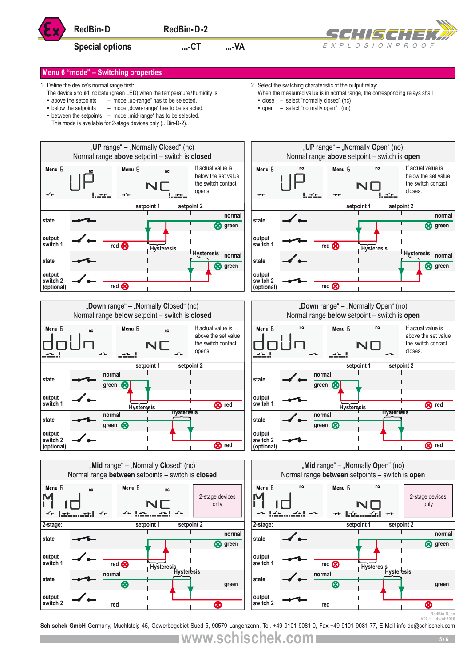![](_page_4_Picture_0.jpeg)

# Special options **....** CT .... VA

![](_page_4_Picture_3.jpeg)

2. Select the switching charateristic of the output relay:

▪ close – select "normally closed" (nc) ▪ open – select "normally open" (no)

When the measured value is in normal range, the corresponding relays shall

# **Menu 6 "mode" – Switching properties**

- 1. Define the device's normal range first:
	- The device should indicate (green LED) when the temperature/humidity is
	- $\bullet$  above the setpoints  $\left( -\right)$  mode "up-range" has to be selected.
	- below the setpoints mode "down-range" has to be selected.
	- $\bullet$  between the setpoints mode "mid-range" has to be selected. This mode is available for 2-stage devices only (...Bin-D-2).
- **RedBin-D-2**<br> **RedBin-D-2**<br> **Special options**<br>
Special options<br>
Special options<br>
Special options<br>
Containing properties<br>
Containing properties<br>
Containing properties<br>
Containing properties<br>
Containing properties<br>
Containin "**UP** range" – "**N**ormally **C**losed" (nc) "**UP** range" – "**N**ormally **O**pen" (no) Normal range **above** setpoint – switch is **closed** Normal range **above** setpoint – switch is **open** If actual value is If actual value is Menu 6 below the set value below the set value the switch contact the switch contact opens. closes.  $\overline{\mathcal{L}}$ **setpoint 1 setpoint 2 setpoint 1 setpoint 2 normal normal state state green green output output switch 1 switch 1** red **<sub>8</sub>** red<sup><sup></sup></sup> **Hysteresis Hysteresis Hysteresis Hysteresis normal normal state state green green output output switch 2 switch 2**  red<sup>**<sub>8</sub>**</sup> **(optional)** red **<sub>R</sub> (optional)** "**Down** range" – "**N**ormally **C**losed" (nc) "**Down** range" – "**N**ormally **O**pen" (no) Normal range **below** setpoint – switch is **closed** Normal range **below** setpoint – switch is **open** Menu 6 If actual value is If actual value is above the set value above the set value the switch contact the switch contact opens. closes. **setpoint 1 setpoint 2 setpoint 1 setpoint 2 normal normal** state  $\rightarrow$  **state green green output output switch 1 Hysteresis Hysteresis Hysteresis Hysteresis switch 1 red** | Switch 1 **For all Properties red R** red **Hysteresis Hysteresis normal normal normal normal normal green equal to the contract of the contract of the contract of the contract of the contract of the contract of the contract of the contract of the contract of the contract of the contract of the contract of the contract** state  $\longrightarrow$   $\longrightarrow$   $\longrightarrow$   $\longrightarrow$   $\longrightarrow$   $\longrightarrow$  state **output output switch 2 switch 2 (optional) (optional) red red** "**Mid** range" – "**N**ormally **C**losed" (nc) "**Mid** range" – "**N**ormally **O**pen" (no) Normal range **between** setpoints – switch is **closed** Normal range **between** setpoints – switch is **open** Menu 6 2-stage devices 2-stage devices only only **setpoint 2 setpoint 1 setpoint 2 2-stage: 2-stage: setpoint 1 normal normal state state green green output output switch 1** red<sup><sup></sup></sup> **switch 1** red **Q Hysteresis Hysteresis Hysteresis Hysteresis normal normal state state green green output output switch 2 switch 2 red red**

RedBin-D\_en<br>A-Jul-2016 - V02<br>**Schischek GmbH** Germany, Muehlsteig 45, Gewerbegebiet Sued 5, 90579 Langenzenn, Tel. +49 9101 9081-0, Fax +49 9101 9081-77, E-Mail info-de@schischek.com